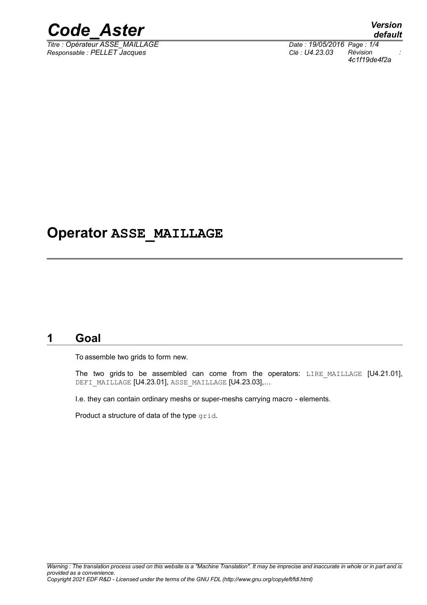

*Titre : Opérateur ASSE\_MAILLAGE Date : 19/05/2016 Page : 1/4 Responsable : PELLET Jacques Clé : U4.23.03 Révision :*

*default 4c1f19de4f2a*

### **Operator ASSE\_MAILLAGE**

#### **1 Goal**

To assemble two grids to form new.

The two grids to be assembled can come from the operators: LIRE MAILLAGE [U4.21.01], DEFI MAILLAGE [U4.23.01], ASSE MAILLAGE [U4.23.03],...

I.e. they can contain ordinary meshs or super-meshs carrying macro - elements.

Product a structure of data of the type grid.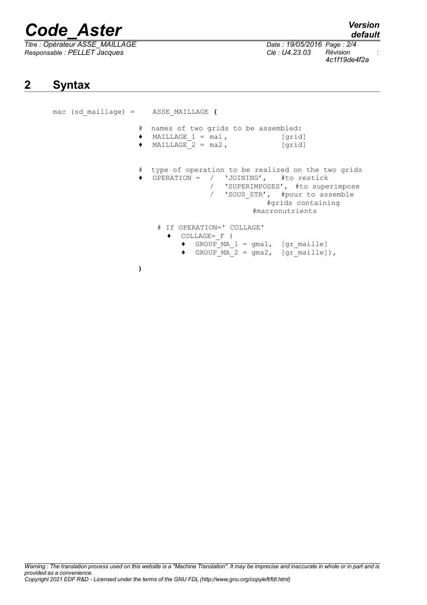# *Code\_Aster Version*

*Titre : Opérateur ASSE\_MAILLAGE Date : 19/05/2016 Page : 2/4 Responsable : PELLET Jacques Clé : U4.23.03 Révision :*

*4c1f19de4f2a*

### **2 Syntax**

mac (sd\_maillage) = ASSE\_MAILLAGE **(** # names of two grids to be assembled:  $\bullet$  MAILLAGE 1 = ma1, [grid]  $\bullet$  MAILLAGE<sub>-2</sub> = ma2, [grid] # type of operation to be realized on the two grids<br>• OPERATION = / 'JOINING', #to restick  $\bullet$  OPERATION = / 'JOINING', / 'SUPERIMPOSES', #to superimpose / 'SOUS STR', #pour to assemble #grids containing #macronutrients # If OPERATION=' COLLAGE' ♦ COLLAGE=\_F (  $\bullet$  GROUP MA 1 = gma1, [gr\_maille]  $\bullet$  GROUP MA 2 = gma2, [gr\_maille]), **)**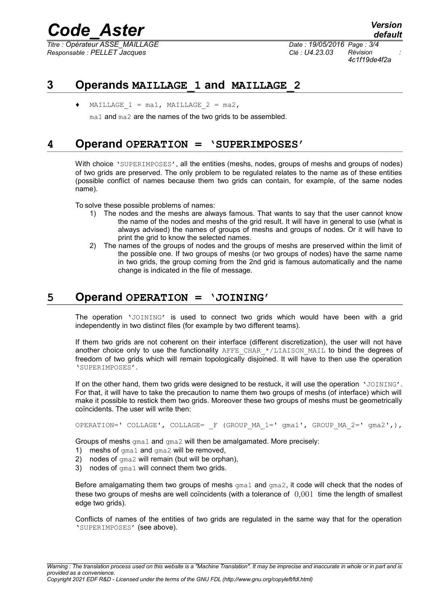## *Code\_Aster Version*

*Titre : Opérateur ASSE\_MAILLAGE Date : 19/05/2016 Page : 3/4 Responsable : PELLET Jacques Clé : U4.23.03 Révision :*

*default*

*4c1f19de4f2a*

#### **3 Operands MAILLAGE\_1 and MAILLAGE\_2**

MAILLAGE  $1 = \text{mal}$ , MAILLAGE  $2 = \text{ma2}$ ,

ma1 and ma2 are the names of the two grids to be assembled.

#### **4 Operand OPERATION = 'SUPERIMPOSES'**

With choice 'SUPERIMPOSES', all the entities (meshs, nodes, groups of meshs and groups of nodes) of two grids are preserved. The only problem to be regulated relates to the name as of these entities (possible conflict of names because them two grids can contain, for example, of the same nodes name).

To solve these possible problems of names:

- 1) The nodes and the meshs are always famous. That wants to say that the user cannot know the name of the nodes and meshs of the grid result. It will have in general to use (what is always advised) the names of groups of meshs and groups of nodes. Or it will have to print the grid to know the selected names.
- 2) The names of the groups of nodes and the groups of meshs are preserved within the limit of the possible one. If two groups of meshs (or two groups of nodes) have the same name in two grids, the group coming from the 2nd grid is famous automatically and the name change is indicated in the file of message.

#### **5 Operand OPERATION = 'JOINING'**

The operation 'JOINING' is used to connect two grids which would have been with a grid independently in two distinct files (for example by two different teams).

If them two grids are not coherent on their interface (different discretization), the user will not have another choice only to use the functionality AFFE CHAR  $*/$ LIAISON MAIL to bind the degrees of freedom of two grids which will remain topologically disjoined. It will have to then use the operation 'SUPERIMPOSES'.

If on the other hand, them two grids were designed to be restuck, it will use the operation 'JOINING'. For that, it will have to take the precaution to name them two groups of meshs (of interface) which will make it possible to restick them two grids. Moreover these two groups of meshs must be geometrically coïncidents. The user will write then:

```
OPERATION=' COLLAGE', COLLAGE= F (GROUP MA 1=' qma1', GROUP MA 2=' qma2',),
```
Groups of meshs gma1 and gma2 will then be amalgamated. More precisely:

- 1) meshs of gma1 and gma2 will be removed,
- 2) nodes of  $qma2$  will remain (but will be orphan),
- 3) nodes of gma1 will connect them two grids.

Before amalgamating them two groups of meshs  $\text{qma1}$  and  $\text{qma2}$ , it code will check that the nodes of these two groups of meshs are well coïncidents (with a tolerance of  $0.001$  time the length of smallest edge two grids).

Conflicts of names of the entities of two grids are regulated in the same way that for the operation 'SUPERIMPOSES' (see above).